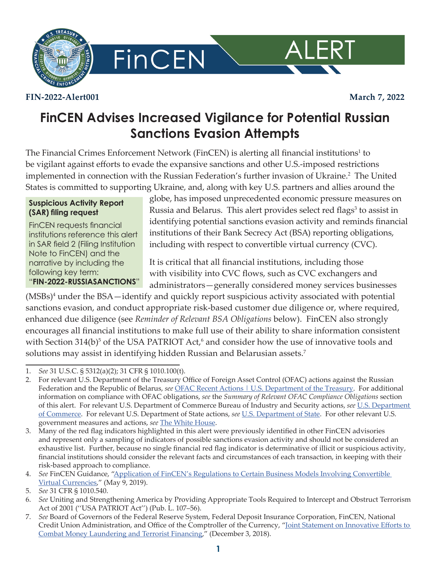

**FinCEN** 

#### **FIN-2022-Alert001 March 7, 2022**

ALERT

# **FinCEN Advises Increased Vigilance for Potential Russian Sanctions Evasion Attempts**

The Financial Crimes Enforcement Network (FinCEN) is alerting all financial institutions<sup>1</sup> to be vigilant against efforts to evade the expansive sanctions and other U.S.-imposed restrictions implemented in connection with the Russian Federation's further invasion of Ukraine.<sup>2</sup> The United States is committed to supporting Ukraine, and, along with key U.S. partners and allies around the

#### **Suspicious Activity Report (SAR) filing request**

FinCEN requests financial institutions reference this alert in SAR field 2 (Filing Institution Note to FinCEN) and the narrative by including the following key term: "**FIN-2022-RUSSIASANCTIONS**"

globe, has imposed unprecedented economic pressure measures on Russia and Belarus. This alert provides select red flags<sup>3</sup> to assist in identifying potential sanctions evasion activity and reminds financial institutions of their Bank Secrecy Act (BSA) reporting obligations, including with respect to convertible virtual currency (CVC).

It is critical that all financial institutions, including those with visibility into CVC flows, such as CVC exchangers and administrators—generally considered money services businesses

(MSBs)<sup>4</sup> under the BSA—identify and quickly report suspicious activity associated with potential sanctions evasion, and conduct appropriate risk-based customer due diligence or, where required, enhanced due diligence (see *Reminder of Relevant BSA Obligations* below). FinCEN also strongly encourages all financial institutions to make full use of their ability to share information consistent with Section 314(b)<sup>5</sup> of the USA PATRIOT Act,<sup>6</sup> and consider how the use of innovative tools and solutions may assist in identifying hidden Russian and Belarusian assets.<sup>7</sup>

<sup>1.</sup> *See* 31 U.S.C. § 5312(a)(2); 31 CFR § 1010.100(t).

<sup>2.</sup> For relevant U.S. Department of the Treasury Office of Foreign Asset Control (OFAC) actions against the Russian Federation and the Republic of Belarus, see OFAC Recent Actions | U.S. [Department](https://home.treasury.gov/policy-issues/financial-sanctions/recent-actions) of the Treasury. For additional information on compliance with OFAC obligations, *see* the *Summary of Relevant OFAC Compliance Obligations* section of this alert. For relevant U.S. Department of Commerce Bureau of Industry and Security actions, *see* [U.S. Department](https://www.bis.doc.gov/)  of [Commerce](https://www.bis.doc.gov/). For relevant U.S. Department of State actions, *see* [U.S. Department of State](https://www.state.gov/). For other relevant U.S. government measures and actions, *see* The White [House](https://www.whitehouse.gov/).

<sup>3.</sup> Many of the red flag indicators highlighted in this alert were previously identified in other FinCEN advisories and represent only a sampling of indicators of possible sanctions evasion activity and should not be considered an exhaustive list. Further, because no single financial red flag indicator is determinative of illicit or suspicious activity, financial institutions should consider the relevant facts and circumstances of each transaction, in keeping with their risk-based approach to compliance.

<sup>4.</sup> *See* FinCEN Guidance, ["Application](https://www.fincen.gov/sites/default/files/2019-05/FinCEN Guidance CVC FINAL 508.pdf) of FinCEN's Regulations to Certain Business Models Involving Convertible Virtual [Currencies,](https://www.fincen.gov/sites/default/files/2019-05/FinCEN Guidance CVC FINAL 508.pdf)" (May 9, 2019).

<sup>5.</sup> *See* 31 CFR § 1010.540.

<sup>6.</sup> *See* Uniting and Strengthening America by Providing Appropriate Tools Required to Intercept and Obstruct Terrorism Act of 2001 (''USA PATRIOT Act'') (Pub. L. 107–56).

<sup>7.</sup>  *See* Board of Governors of the Federal Reserve System, Federal Deposit Insurance Corporation, FinCEN, National Credit Union Administration, and Office of the Comptroller of the Currency, "Joint Statement on [Innovative](https://www.fincen.gov/sites/default/files/2018-12/Joint Statement on Innovation Statement %28Final 11-30-18%29_508.pdf) Efforts to Combat Money [Laundering](https://www.fincen.gov/sites/default/files/2018-12/Joint Statement on Innovation Statement %28Final 11-30-18%29_508.pdf) and Terrorist Financing," (December 3, 2018).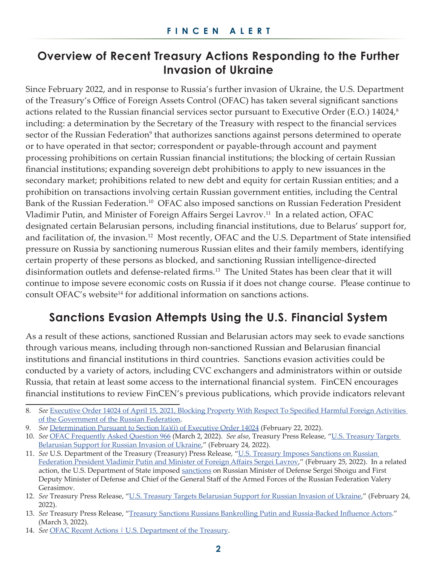# **Overview of Recent Treasury Actions Responding to the Further Invasion of Ukraine**

Since February 2022, and in response to Russia's further invasion of Ukraine, the U.S. Department of the Treasury's Office of Foreign Assets Control (OFAC) has taken several significant sanctions actions related to the Russian financial services sector pursuant to Executive Order (E.O.) 14024,<sup>8</sup> including: a determination by the Secretary of the Treasury with respect to the financial services sector of the Russian Federation<sup>9</sup> that authorizes sanctions against persons determined to operate or to have operated in that sector; correspondent or payable-through account and payment processing prohibitions on certain Russian financial institutions; the blocking of certain Russian financial institutions; expanding sovereign debt prohibitions to apply to new issuances in the secondary market; prohibitions related to new debt and equity for certain Russian entities; and a prohibition on transactions involving certain Russian government entities, including the Central Bank of the Russian Federation.<sup>10</sup> OFAC also imposed sanctions on Russian Federation President Vladimir Putin, and Minister of Foreign Affairs Sergei Lavrov.<sup>11</sup> In a related action, OFAC designated certain Belarusian persons, including financial institutions, due to Belarus' support for, and facilitation of, the invasion.<sup>12</sup> Most recently, OFAC and the U.S. Department of State intensified pressure on Russia by sanctioning numerous Russian elites and their family members, identifying certain property of these persons as blocked, and sanctioning Russian intelligence-directed disinformation outlets and defense-related firms.<sup>13</sup> The United States has been clear that it will continue to impose severe economic costs on Russia if it does not change course. Please continue to consult OFAC's website<sup>14</sup> for additional information on sanctions actions.

# **Sanctions Evasion Attempts Using the U.S. Financial System**

As a result of these actions, sanctioned Russian and Belarusian actors may seek to evade sanctions through various means, including through non-sanctioned Russian and Belarusian financial institutions and financial institutions in third countries. Sanctions evasion activities could be conducted by a variety of actors, including CVC exchangers and administrators within or outside Russia, that retain at least some access to the international financial system. FinCEN encourages financial institutions to review FinCEN's previous publications, which provide indicators relevant

<sup>8.</sup> See [Executive](https://home.treasury.gov/system/files/126/14024.pdf) Order 14024 of April 15, 2021, Blocking Property With Respect To Specified Harmful Foreign Activities of the [Government](https://home.treasury.gov/system/files/126/14024.pdf) of the Russian Federation.

<sup>9.</sup> *See* [Determination](https://home.treasury.gov/system/files/126/russia_harmful_determination_20220222.pdf) Pursuant to Section  $I(a)(i)$  of Executive Order 14024 (February 22, 2022).

<sup>10.</sup> *See* OFAC [Frequently](https://home.treasury.gov/policy-issues/financial-sanctions/faqs/966) Asked Question 966 (March 2, 2022). *See also*, Treasury Press Release, "U.S. [Treasury](https://home.treasury.gov/news/press-releases/jy0607) Targets [Belarusian](https://home.treasury.gov/news/press-releases/jy0607) Support for Russian Invasion of Ukraine," (February 24, 2022).

<sup>11.</sup> *See* U.S. Department of the Treasury (Treasury) Press Release, "U.S. Treasury Imposes [Sanctions](https://home.treasury.gov/news/press-releases/jy0610) on Russian [Federation](https://home.treasury.gov/news/press-releases/jy0610) President Vladimir Putin and Minister of Foreign Affairs Sergei Lavrov," (February 25, 2022). In a related action, the U.S. Department of State imposed [sanctions](https://www.state.gov/imposing-sanctions-on-president-putin-and-three-other-senior-russian-officials/) on Russian Minister of Defense Sergei Shoigu and First Deputy Minister of Defense and Chief of the General Staff of the Armed Forces of the Russian Federation Valery Gerasimov.

<sup>12.</sup> *See* Treasury Press Release, "U.S. Treasury Targets [Belarusian](https://home.treasury.gov/news/press-releases/jy0607) Support for Russian Invasion of Ukraine," (February 24, 2022).

<sup>13.</sup> *See* Treasury Press Release, "Treasury Sanctions Russians Bankrolling Putin and [Russia-Backed](https://home.treasury.gov/news/press-releases/jy0628) Influence Actors." (March 3, 2022).

<sup>14.</sup> *See* OFAC Recent Actions | U.S. [Department](https://home.treasury.gov/policy-issues/financial-sanctions/recent-actions) of the Treasury.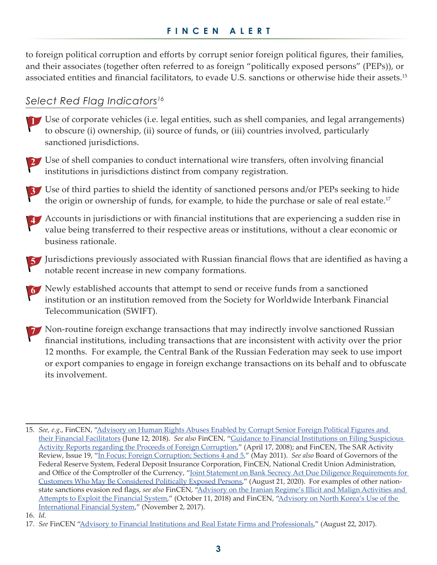to foreign political corruption and efforts by corrupt senior foreign political figures, their families, and their associates (together often referred to as foreign "politically exposed persons" (PEPs)), or associated entities and financial facilitators, to evade U.S. sanctions or otherwise hide their assets.15

## *Select Red Flag Indicators16*



 Use of corporate vehicles (i.e. legal entities, such as shell companies, and legal arrangements) to obscure (i) ownership, (ii) source of funds, or (iii) countries involved, particularly sanctioned jurisdictions.



 Use of third parties to shield the identity of sanctioned persons and/or PEPs seeking to hide the origin or ownership of funds, for example, to hide the purchase or sale of real estate.<sup>17</sup>

Accounts in jurisdictions or with financial institutions that are experiencing a sudden rise in value being transferred to their respective areas or institutions, without a clear economic or business rationale.

5 Jurisdictions previously associated with Russian financial flows that are identified as having a notable recent increase in new company formations.

 Newly established accounts that attempt to send or receive funds from a sanctioned institution or an institution removed from the Society for Worldwide Interbank Financial Telecommunication (SWIFT).

**T** Non-routine foreign exchange transactions that may indirectly involve sanctioned Russian financial institutions, including transactions that are inconsistent with activity over the prior 12 months. For example, the Central Bank of the Russian Federation may seek to use import or export companies to engage in foreign exchange transactions on its behalf and to obfuscate its involvement.

<sup>15.</sup> *See, e.g.*, FinCEN, ["Advisory](https://www.fincen.gov/sites/default/files/advisory/2018-07-03/PEP Facilitator Advisory_FINAL 508 updated.pdf) on Human Rights Abuses Enabled by Corrupt Senior Foreign Political Figures and their Financial [Facilitators](https://www.fincen.gov/sites/default/files/advisory/2018-07-03/PEP Facilitator Advisory_FINAL 508 updated.pdf) (June 12, 2018). *See also* FinCEN, "Guidance to Financial [Institutions](https://www.fincen.gov/sites/default/files/guidance/fin-2008-g005.pdf) on Filing Suspicious Activity Reports regarding the Proceeds of Foreign [Corruption,](https://www.fincen.gov/sites/default/files/guidance/fin-2008-g005.pdf)" (April 17, 2008); and FinCEN, The SAR Activity Review, Issue 19, "In Focus: Foreign [Corruption;](https://www.fincen.gov/sites/default/files/shared/sar_tti_19.pdf#page=35) Sections 4 and 5," (May 2011). *See also* Board of Governors of the Federal Reserve System, Federal Deposit Insurance Corporation, FinCEN, National Credit Union Administration, and Office of the Comptroller of the Currency, "Joint Statement on Bank Secrecy Act Due Diligence [Requirements](https://www.fincen.gov/sites/default/files/shared/PEP Interagency Statement_FINAL 508.pdf) for Customers Who May Be [Considered](https://www.fincen.gov/sites/default/files/shared/PEP Interagency Statement_FINAL 508.pdf) Politically Exposed Persons," (August 21, 2020). For examples of other nationstate sanctions evasion red flags, *see also* FinCEN, "Advisory on the Iranian Regime's Illicit and Malign [Activities](https://www.fincen.gov/sites/default/files/advisory/2018-10-12/Iran Advisory FINAL 508.pdf) and [Attempts](https://www.fincen.gov/sites/default/files/advisory/2018-10-12/Iran Advisory FINAL 508.pdf) to Exploit the Financial System," (October 11, 2018) and FinCEN, ["Advisory](https://www.fincen.gov/sites/default/files/advisory/2017-11-02/DPRK Advisory FINAL 508 C.pdf) on North Korea's Use of the [International](https://www.fincen.gov/sites/default/files/advisory/2017-11-02/DPRK Advisory FINAL 508 C.pdf) Financial System," (November 2, 2017).

<sup>16.</sup> *Id.*

<sup>17.</sup> *See* FinCEN "Advisory to Financial Institutions and Real Estate Firms and [Professionals](https://www.fincen.gov/sites/default/files/advisory/2017-08-22/Risk in Real Estate Advisory_FINAL 508 Tuesday %28002%29.pdf)," (August 22, 2017).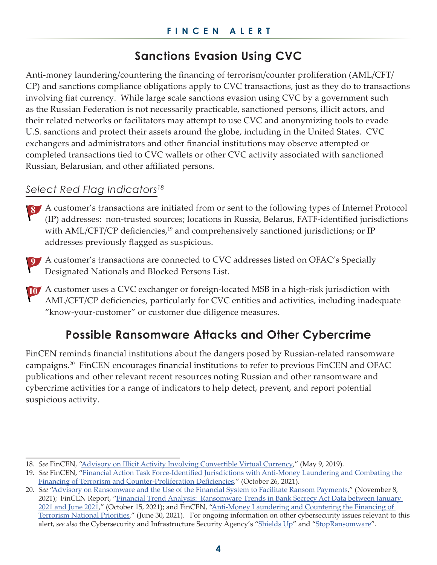# **Sanctions Evasion Using CVC**

Anti-money laundering/countering the financing of terrorism/counter proliferation (AML/CFT/ CP) and sanctions compliance obligations apply to CVC transactions, just as they do to transactions involving fiat currency. While large scale sanctions evasion using CVC by a government such as the Russian Federation is not necessarily practicable, sanctioned persons, illicit actors, and their related networks or facilitators may attempt to use CVC and anonymizing tools to evade U.S. sanctions and protect their assets around the globe, including in the United States. CVC exchangers and administrators and other financial institutions may observe attempted or completed transactions tied to CVC wallets or other CVC activity associated with sanctioned Russian, Belarusian, and other affiliated persons.

## *Select Red Flag Indicators18*

- A customer's transactions are initiated from or sent to the following types of Internet Protocol (IP) addresses: non-trusted sources; locations in Russia, Belarus, FATF-identified jurisdictions with AML/CFT/CP deficiencies,<sup>19</sup> and comprehensively sanctioned jurisdictions; or IP addresses previously flagged as suspicious.
- A customer's transactions are connected to CVC addresses listed on OFAC's Specially Designated Nationals and Blocked Persons List.
- A customer uses a CVC exchanger or foreign-located MSB in a high-risk jurisdiction with AML/CFT/CP deficiencies, particularly for CVC entities and activities, including inadequate "know-your-customer" or customer due diligence measures.

# **Possible Ransomware Attacks and Other Cybercrime**

FinCEN reminds financial institutions about the dangers posed by Russian-related ransomware campaigns.<sup>20</sup> FinCEN encourages financial institutions to refer to previous FinCEN and OFAC publications and other relevant recent resources noting Russian and other ransomware and cybercrime activities for a range of indicators to help detect, prevent, and report potential suspicious activity.

<sup>18.</sup> *See* FinCEN, "Advisory on Illicit Activity Involving [Convertible](https://www.fincen.gov/sites/default/files/advisory/2019-05-10/FinCEN Advisory CVC FINAL 508.pdf) Virtual Currency," (May 9, 2019).

<sup>19.</sup> *See* FinCEN, "Financial Action Task [Force-Identified](https://www.fincen.gov/index.php/news/news-releases/financial-action-task-force-identifies-jurisdictions-anti-money-laundering-and-0) Jurisdictions with Anti-Money Laundering and Combating the Financing of Terrorism and [Counter-Proliferation](https://www.fincen.gov/index.php/news/news-releases/financial-action-task-force-identifies-jurisdictions-anti-money-laundering-and-0) Deficiencies," (October 26, 2021).

<sup>20.</sup> *See* "Advisory on [Ransomware](https://www.fincen.gov/sites/default/files/2021-11/FinCEN Ransomware Advisory_FINAL_508_.pdf) and the Use of the Financial System to Facilitate Ransom Payments," (November 8, 2021); FinCEN Report, "Financial Trend [Analysis: Ransomware](https://www.fincen.gov/sites/default/files/2021-10/Financial Trend Analysis_Ransomware 508 FINAL.pdf) Trends in Bank Secrecy Act Data between January [2021 and June 2021](https://www.fincen.gov/sites/default/files/2021-10/Financial Trend Analysis_Ransomware 508 FINAL.pdf)," (October 15, 2021); and FinCEN, ["Anti-Money](https://www.fincen.gov/sites/default/files/shared/AML_CFT Priorities (June 30%2C 2021).pdf) Laundering and Countering the Financing of [Terrorism](https://www.fincen.gov/sites/default/files/shared/AML_CFT Priorities (June 30%2C 2021).pdf) National Priorities," (June 30, 2021). For ongoing information on other cybersecurity issues relevant to this alert, *see also* the Cybersecurity and Infrastructure Security Agency's ["Shields](https://www.cisa.gov/shields-up) Up" and "[StopRansomware](https://www.cisa.gov/stopransomware)".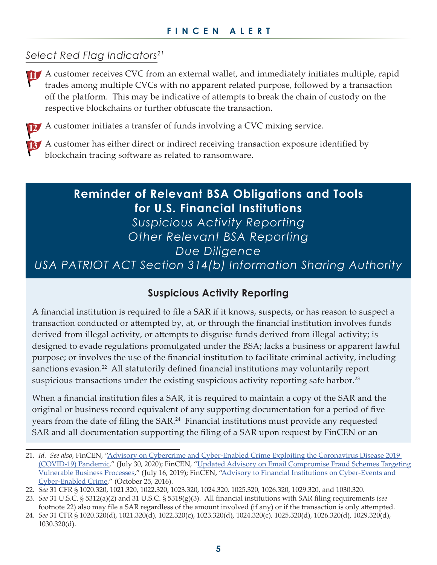### *Select Red Flag Indicators21*

 A customer receives CVC from an external wallet, and immediately initiates multiple, rapid trades among multiple CVCs with no apparent related purpose, followed by a transaction off the platform. This may be indicative of attempts to break the chain of custody on the respective blockchains or further obfuscate the transaction.

 A customer initiates a transfer of funds involving a CVC mixing service.

 A customer has either direct or indirect receiving transaction exposure identified by blockchain tracing software as related to ransomware.

# **Reminder of Relevant BSA Obligations and Tools for U.S. Financial Institutions**

*Suspicious Activity Reporting Other Relevant BSA Reporting*

*Due Diligence*

*USA PATRIOT ACT Section 314(b) Information Sharing Authority*

#### **Suspicious Activity Reporting**

A financial institution is required to file a SAR if it knows, suspects, or has reason to suspect a transaction conducted or attempted by, at, or through the financial institution involves funds derived from illegal activity, or attempts to disguise funds derived from illegal activity; is designed to evade regulations promulgated under the BSA; lacks a business or apparent lawful purpose; or involves the use of the financial institution to facilitate criminal activity, including sanctions evasion.<sup>22</sup> All statutorily defined financial institutions may voluntarily report suspicious transactions under the existing suspicious activity reporting safe harbor.<sup>23</sup>

When a financial institution files a SAR, it is required to maintain a copy of the SAR and the original or business record equivalent of any supporting documentation for a period of five years from the date of filing the SAR.<sup>24</sup> Financial institutions must provide any requested SAR and all documentation supporting the filing of a SAR upon request by FinCEN or an

<sup>21.</sup> *Id. See also*, FinCEN, "Advisory on Cybercrime and [Cyber-Enabled](https://www.fincen.gov/sites/default/files/advisory/2020-07-30/FinCEN Advisory Covid Cybercrime 508 FINAL.pdf) Crime Exploiting the Coronavirus Disease 2019 [\(COVID-19\)](https://www.fincen.gov/sites/default/files/advisory/2020-07-30/FinCEN Advisory Covid Cybercrime 508 FINAL.pdf) Pandemic," (July 30, 2020); FinCEN, "Updated Advisory on Email [Compromise](https://www.fincen.gov/sites/default/files/advisory/2019-07-16/Updated BEC Advisory FINAL 508.pdf) Fraud Schemes Targeting [Vulnerable](https://www.fincen.gov/sites/default/files/advisory/2019-07-16/Updated BEC Advisory FINAL 508.pdf) Business Processes," (July 16, 2019); FinCEN, "Advisory to Financial Institutions on [Cyber-Events](https://www.fincen.gov/sites/default/files/advisory/2016-10-25/Cyber Threats Advisory - FINAL 508_2.pdf) and [Cyber-Enabled](https://www.fincen.gov/sites/default/files/advisory/2016-10-25/Cyber Threats Advisory - FINAL 508_2.pdf) Crime," (October 25, 2016).

<sup>22.</sup> *See* 31 CFR § 1020.320, 1021.320, 1022.320, 1023.320, 1024.320, 1025.320, 1026.320, 1029.320, and 1030.320.

<sup>23.</sup> *See* 31 U.S.C. § 5312(a)(2) and 31 U.S.C. § 5318(g)(3). All financial institutions with SAR filing requirements (*see* footnote 22) also may file a SAR regardless of the amount involved (if any) or if the transaction is only attempted.

<sup>24.</sup> *See* 31 CFR § 1020.320(d), 1021.320(d), 1022.320(c), 1023.320(d), 1024.320(c), 1025.320(d), 1026.320(d), 1029.320(d), 1030.320(d).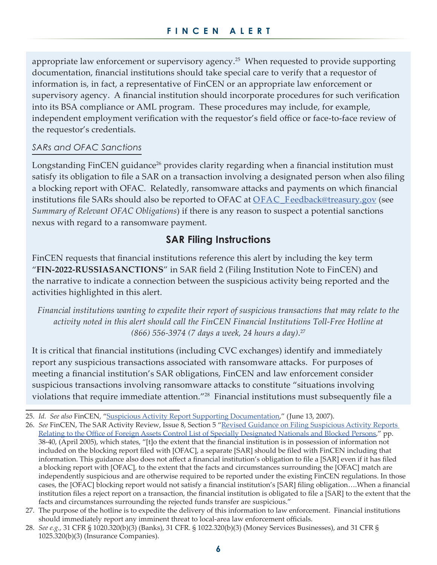appropriate law enforcement or supervisory agency.<sup>25</sup> When requested to provide supporting documentation, financial institutions should take special care to verify that a requestor of information is, in fact, a representative of FinCEN or an appropriate law enforcement or supervisory agency. A financial institution should incorporate procedures for such verification into its BSA compliance or AML program. These procedures may include, for example, independent employment verification with the requestor's field office or face-to-face review of the requestor's credentials.

#### *SARs and OFAC Sanctions*

Longstanding FinCEN guidance<sup>26</sup> provides clarity regarding when a financial institution must satisfy its obligation to file a SAR on a transaction involving a designated person when also filing a blocking report with OFAC. Relatedly, ransomware attacks and payments on which financial institutions file SARs should also be reported to OFAC at OFAC\_F[eedback@treasury.gov](mailto:ofac_feedback%40treasury.gov?subject=) (see *Summary of Relevant OFAC Obligations*) if there is any reason to suspect a potential sanctions nexus with regard to a ransomware payment.

## **SAR Filing Instructions**

FinCEN requests that financial institutions reference this alert by including the key term "**FIN-2022-RUSSIASANCTIONS**" in SAR field 2 (Filing Institution Note to FinCEN) and the narrative to indicate a connection between the suspicious activity being reported and the activities highlighted in this alert.

*Financial institutions wanting to expedite their report of suspicious transactions that may relate to the*  activity noted in this alert should call the FinCEN Financial Institutions Toll-Free Hotline at *(866) 556-3974 (7 days a week, 24 hours a day)*. 27

It is critical that financial institutions (including CVC exchanges) identify and immediately report any suspicious transactions associated with ransomware attacks. For purposes of meeting a financial institution's SAR obligations, FinCEN and law enforcement consider suspicious transactions involving ransomware attacks to constitute "situations involving violations that require immediate attention."28 Financial institutions must subsequently file a

<sup>25.</sup> *Id. See also* FinCEN, "Suspicious Activity Report Supporting [Documentation,](https://www.fincen.gov/resources/statutes-regulations/guidance/suspicious-activity-report-supporting-documentation)" (June 13, 2007).

<sup>26.</sup> *See* FinCEN, The SAR Activity Review, Issue 8, Section 5 "Revised Guidance on Filing [Suspicious](https://www.fincen.gov/sites/default/files/shared/sar_tti_08.pdf#page=44) Activity Reports Relating to the Office of Foreign Assets Control List of Specially [Designated](https://www.fincen.gov/sites/default/files/shared/sar_tti_08.pdf#page=44) Nationals and Blocked Persons," pp. 38-40, (April 2005), which states, "[t]o the extent that the financial institution is in possession of information not included on the blocking report filed with [OFAC], a separate [SAR] should be filed with FinCEN including that information. This guidance also does not affect a financial institution's obligation to file a [SAR] even if it has filed a blocking report with [OFAC], to the extent that the facts and circumstances surrounding the [OFAC] match are independently suspicious and are otherwise required to be reported under the existing FinCEN regulations. In those cases, the [OFAC] blocking report would not satisfy a financial institution's [SAR] filing obligation….When a financial institution files a reject report on a transaction, the financial institution is obligated to file a [SAR] to the extent that the facts and circumstances surrounding the rejected funds transfer are suspicious."

<sup>27.</sup> The purpose of the hotline is to expedite the delivery of this information to law enforcement. Financial institutions should immediately report any imminent threat to local-area law enforcement officials.

<sup>28.</sup> *See e.g.,* 31 CFR § 1020.320(b)(3) (Banks), 31 CFR. § 1022.320(b)(3) (Money Services Businesses), and 31 CFR § 1025.320(b)(3) (Insurance Companies).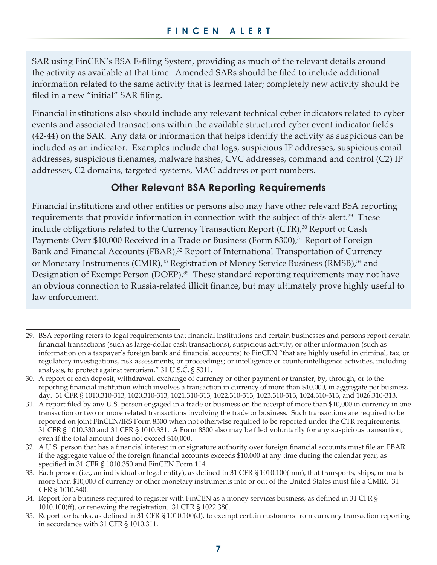SAR using FinCEN's BSA E-filing System, providing as much of the relevant details around the activity as available at that time. Amended SARs should be filed to include additional information related to the same activity that is learned later; completely new activity should be filed in a new "initial" SAR filing.

Financial institutions also should include any relevant technical cyber indicators related to cyber events and associated transactions within the available structured cyber event indicator fields (42-44) on the SAR. Any data or information that helps identify the activity as suspicious can be included as an indicator. Examples include chat logs, suspicious IP addresses, suspicious email addresses, suspicious filenames, malware hashes, CVC addresses, command and control (C2) IP addresses, C2 domains, targeted systems, MAC address or port numbers.

## **Other Relevant BSA Reporting Requirements**

Financial institutions and other entities or persons also may have other relevant BSA reporting requirements that provide information in connection with the subject of this alert.<sup>29</sup> These include obligations related to the Currency Transaction Report  $(CTR)$ ,<sup>30</sup> Report of Cash Payments Over \$10,000 Received in a Trade or Business (Form 8300),<sup>31</sup> Report of Foreign Bank and Financial Accounts (FBAR),<sup>32</sup> Report of International Transportation of Currency or Monetary Instruments (CMIR),<sup>33</sup> Registration of Money Service Business (RMSB),<sup>34</sup> and Designation of Exempt Person (DOEP).<sup>35</sup> These standard reporting requirements may not have an obvious connection to Russia-related illicit finance, but may ultimately prove highly useful to law enforcement.

<sup>29.</sup> BSA reporting refers to legal requirements that financial institutions and certain businesses and persons report certain financial transactions (such as large-dollar cash transactions), suspicious activity, or other information (such as information on a taxpayer's foreign bank and financial accounts) to FinCEN "that are highly useful in criminal, tax, or regulatory investigations, risk assessments, or proceedings; or intelligence or counterintelligence activities, including analysis, to protect against terrorism." 31 U.S.C. § 5311.

<sup>30.</sup> A report of each deposit, withdrawal, exchange of currency or other payment or transfer, by, through, or to the reporting financial institution which involves a transaction in currency of more than \$10,000, in aggregate per business day. 31 CFR § 1010.310-313, 1020.310-313, 1021.310-313, 1022.310-313, 1023.310-313, 1024.310-313, and 1026.310-313.

<sup>31.</sup> A report filed by any U.S. person engaged in a trade or business on the receipt of more than \$10,000 in currency in one transaction or two or more related transactions involving the trade or business. Such transactions are required to be reported on joint FinCEN/IRS Form 8300 when not otherwise required to be reported under the CTR requirements. 31 CFR § 1010.330 and 31 CFR § 1010.331. A Form 8300 also may be filed voluntarily for any suspicious transaction, even if the total amount does not exceed \$10,000.

<sup>32.</sup> A U.S. person that has a financial interest in or signature authority over foreign financial accounts must file an FBAR if the aggregate value of the foreign financial accounts exceeds \$10,000 at any time during the calendar year, as specified in 31 CFR § 1010.350 and FinCEN Form 114.

<sup>33.</sup> Each person (i.e., an individual or legal entity), as defined in 31 CFR § 1010.100(mm), that transports, ships, or mails more than \$10,000 of currency or other monetary instruments into or out of the United States must file a CMIR. 31 CFR § 1010.340.

<sup>34.</sup> Report for a business required to register with FinCEN as a money services business, as defined in 31 CFR § 1010.100(ff), or renewing the registration. 31 CFR § 1022.380.

<sup>35.</sup> Report for banks, as defined in 31 CFR § 1010.100(d), to exempt certain customers from currency transaction reporting in accordance with 31 CFR § 1010.311.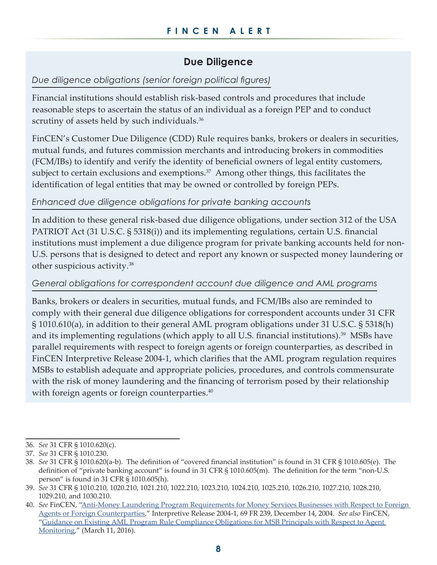## **Due Diligence**

#### *Due diligence obligations (senior foreign political figures)*

Financial institutions should establish risk-based controls and procedures that include reasonable steps to ascertain the status of an individual as a foreign PEP and to conduct scrutiny of assets held by such individuals.<sup>36</sup>

FinCEN's Customer Due Diligence (CDD) Rule requires banks, brokers or dealers in securities, mutual funds, and futures commission merchants and introducing brokers in commodities (FCM/IBs) to identify and verify the identity of beneficial owners of legal entity customers, subject to certain exclusions and exemptions.<sup>37</sup> Among other things, this facilitates the identification of legal entities that may be owned or controlled by foreign PEPs.

#### *Enhanced due diligence obligations for private banking accounts*

In addition to these general risk-based due diligence obligations, under section 312 of the USA PATRIOT Act (31 U.S.C. § 5318(i)) and its implementing regulations, certain U.S. financial institutions must implement a due diligence program for private banking accounts held for non-U.S. persons that is designed to detect and report any known or suspected money laundering or other suspicious activity.38

#### *General obligations for correspondent account due diligence and AML programs*

Banks, brokers or dealers in securities, mutual funds, and FCM/IBs also are reminded to comply with their general due diligence obligations for correspondent accounts under 31 CFR § 1010.610(a), in addition to their general AML program obligations under 31 U.S.C. § 5318(h) and its implementing regulations (which apply to all U.S. financial institutions).<sup>39</sup> MSBs have parallel requirements with respect to foreign agents or foreign counterparties, as described in FinCEN Interpretive Release 2004-1, which clarifies that the AML program regulation requires MSBs to establish adequate and appropriate policies, procedures, and controls commensurate with the risk of money laundering and the financing of terrorism posed by their relationship with foreign agents or foreign counterparties.<sup>40</sup>

<sup>36.</sup> *See* 31 CFR § 1010.620(c).

<sup>37.</sup> *See* 31 CFR § 1010.230.

<sup>38.</sup> *See* 31 CFR § 1010.620(a-b). The definition of "covered financial institution" is found in 31 CFR § 1010.605(e). The definition of "private banking account" is found in 31 CFR § 1010.605(m). The definition for the term "non-U.S. person" is found in 31 CFR § 1010.605(h).

<sup>39.</sup> *See* 31 CFR § 1010.210, 1020.210, 1021.210, 1022.210, 1023.210, 1024.210, 1025.210, 1026.210, 1027.210, 1028.210, 1029.210, and 1030.210.

<sup>40.</sup> *See* FinCEN, "Anti-Money Laundering Program [Requirements](https://www.fincen.gov/sites/default/files/federal_register_notice/31cfr12142004.pdf) for Money Services Businesses with Respect to Foreign Agents or Foreign [Counterparties,](https://www.fincen.gov/sites/default/files/federal_register_notice/31cfr12142004.pdf)" Interpretive Release 2004-1, 69 FR 239, December 14, 2004. *See also* FinCEN, "Guidance on Existing AML Program Rule [Compliance](https://www.fincen.gov/resources/statutes-regulations/guidance/guidance-existing-aml-program-rule-compliance-obligations) Obligations for MSB Principals with Respect to Agent [Monitoring,](https://www.fincen.gov/resources/statutes-regulations/guidance/guidance-existing-aml-program-rule-compliance-obligations)" (March 11, 2016).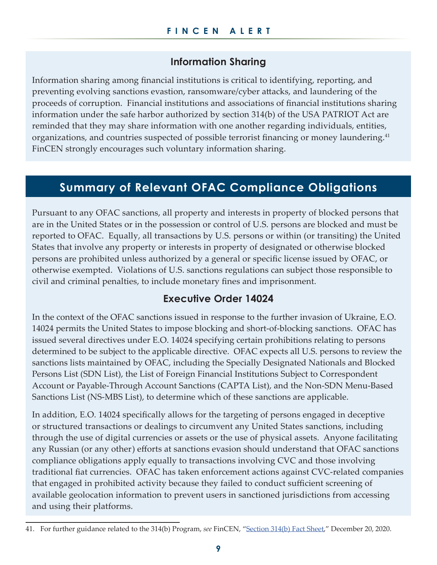### **Information Sharing**

Information sharing among financial institutions is critical to identifying, reporting, and preventing evolving sanctions evastion, ransomware/cyber attacks, and laundering of the proceeds of corruption. Financial institutions and associations of financial institutions sharing information under the safe harbor authorized by section 314(b) of the USA PATRIOT Act are reminded that they may share information with one another regarding individuals, entities, organizations, and countries suspected of possible terrorist financing or money laundering.<sup>41</sup> FinCEN strongly encourages such voluntary information sharing.

# **Summary of Relevant OFAC Compliance Obligations**

Pursuant to any OFAC sanctions, all property and interests in property of blocked persons that are in the United States or in the possession or control of U.S. persons are blocked and must be reported to OFAC. Equally, all transactions by U.S. persons or within (or transiting) the United States that involve any property or interests in property of designated or otherwise blocked persons are prohibited unless authorized by a general or specific license issued by OFAC, or otherwise exempted. Violations of U.S. sanctions regulations can subject those responsible to civil and criminal penalties, to include monetary fines and imprisonment.

#### **Executive Order 14024**

In the context of the OFAC sanctions issued in response to the further invasion of Ukraine, E.O. 14024 permits the United States to impose blocking and short-of-blocking sanctions. OFAC has issued several directives under E.O. 14024 specifying certain prohibitions relating to persons determined to be subject to the applicable directive. OFAC expects all U.S. persons to review the sanctions lists maintained by OFAC, including the Specially Designated Nationals and Blocked Persons List (SDN List), the List of Foreign Financial Institutions Subject to Correspondent Account or Payable-Through Account Sanctions (CAPTA List), and the Non-SDN Menu-Based Sanctions List (NS-MBS List), to determine which of these sanctions are applicable.

In addition, E.O. 14024 specifically allows for the targeting of persons engaged in deceptive or structured transactions or dealings to circumvent any United States sanctions, including through the use of digital currencies or assets or the use of physical assets. Anyone facilitating any Russian (or any other) efforts at sanctions evasion should understand that OFAC sanctions compliance obligations apply equally to transactions involving CVC and those involving traditional fiat currencies. OFAC has taken enforcement actions against CVC-related companies that engaged in prohibited activity because they failed to conduct sufficient screening of available geolocation information to prevent users in sanctioned jurisdictions from accessing and using their platforms.

<sup>41.</sup> For further guidance related to the 314(b) Program, *see* FinCEN, ["Section](https://www.fincen.gov/section-314b) 314(b) Fact Sheet," December 20, 2020.